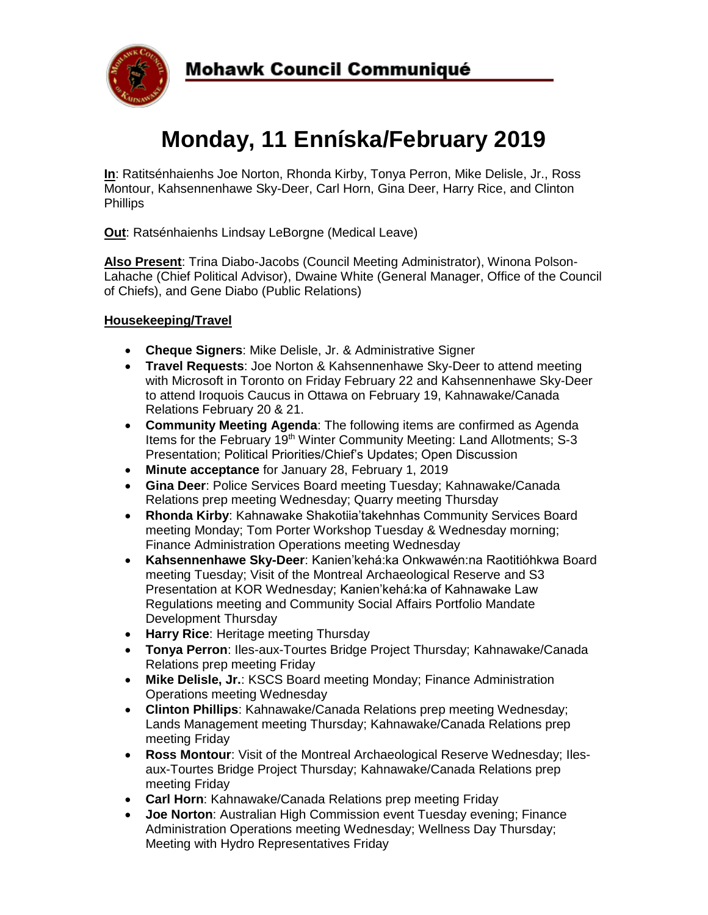

# **Monday, 11 Enníska/February 2019**

**In**: Ratitsénhaienhs Joe Norton, Rhonda Kirby, Tonya Perron, Mike Delisle, Jr., Ross Montour, Kahsennenhawe Sky-Deer, Carl Horn, Gina Deer, Harry Rice, and Clinton **Phillips** 

**Out**: Ratsénhaienhs Lindsay LeBorgne (Medical Leave)

**Also Present**: Trina Diabo-Jacobs (Council Meeting Administrator), Winona Polson-Lahache (Chief Political Advisor), Dwaine White (General Manager, Office of the Council of Chiefs), and Gene Diabo (Public Relations)

## **Housekeeping/Travel**

- **Cheque Signers**: Mike Delisle, Jr. & Administrative Signer
- **Travel Requests**: Joe Norton & Kahsennenhawe Sky-Deer to attend meeting with Microsoft in Toronto on Friday February 22 and Kahsennenhawe Sky-Deer to attend Iroquois Caucus in Ottawa on February 19, Kahnawake/Canada Relations February 20 & 21.
- **Community Meeting Agenda**: The following items are confirmed as Agenda Items for the February 19<sup>th</sup> Winter Community Meeting: Land Allotments; S-3 Presentation; Political Priorities/Chief's Updates; Open Discussion
- **Minute acceptance** for January 28, February 1, 2019
- **Gina Deer**: Police Services Board meeting Tuesday; Kahnawake/Canada Relations prep meeting Wednesday; Quarry meeting Thursday
- **Rhonda Kirby**: Kahnawake Shakotiia'takehnhas Community Services Board meeting Monday; Tom Porter Workshop Tuesday & Wednesday morning; Finance Administration Operations meeting Wednesday
- **Kahsennenhawe Sky-Deer**: Kanien'kehá:ka Onkwawén:na Raotitióhkwa Board meeting Tuesday; Visit of the Montreal Archaeological Reserve and S3 Presentation at KOR Wednesday; Kanien'kehá:ka of Kahnawake Law Regulations meeting and Community Social Affairs Portfolio Mandate Development Thursday
- **Harry Rice**: Heritage meeting Thursday
- **Tonya Perron**: Iles-aux-Tourtes Bridge Project Thursday; Kahnawake/Canada Relations prep meeting Friday
- **Mike Delisle, Jr.**: KSCS Board meeting Monday; Finance Administration Operations meeting Wednesday
- **Clinton Phillips**: Kahnawake/Canada Relations prep meeting Wednesday; Lands Management meeting Thursday; Kahnawake/Canada Relations prep meeting Friday
- **Ross Montour**: Visit of the Montreal Archaeological Reserve Wednesday; Ilesaux-Tourtes Bridge Project Thursday; Kahnawake/Canada Relations prep meeting Friday
- **Carl Horn**: Kahnawake/Canada Relations prep meeting Friday
- **Joe Norton**: Australian High Commission event Tuesday evening; Finance Administration Operations meeting Wednesday; Wellness Day Thursday; Meeting with Hydro Representatives Friday